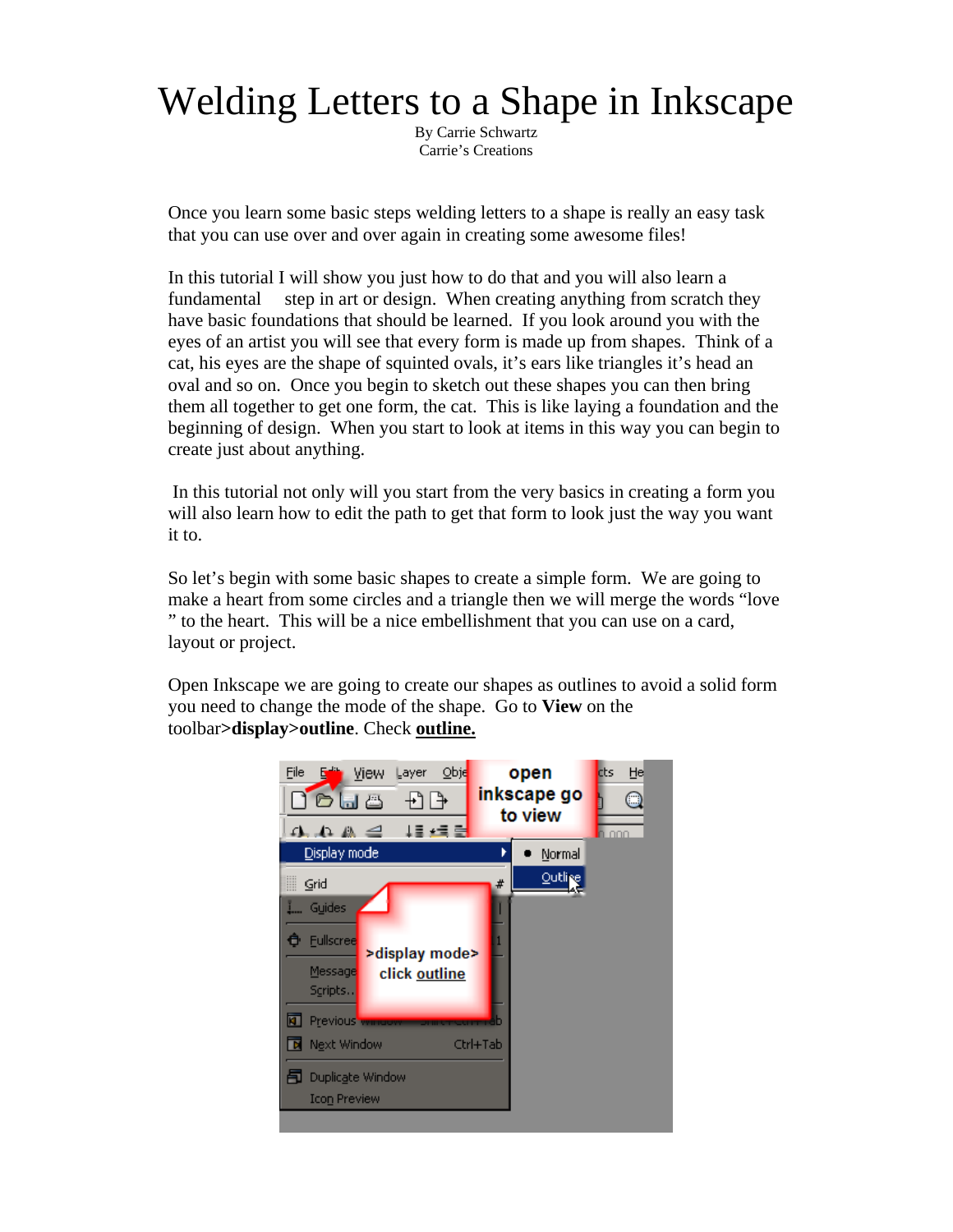## Welding Letters to a Shape in Inkscape

By Carrie Schwartz Carrie's Creations

Once you learn some basic steps welding letters to a shape is really an easy task that you can use over and over again in creating some awesome files!

In this tutorial I will show you just how to do that and you will also learn a fundamental step in art or design. When creating anything from scratch they have basic foundations that should be learned. If you look around you with the eyes of an artist you will see that every form is made up from shapes. Think of a cat, his eyes are the shape of squinted ovals, it's ears like triangles it's head an oval and so on. Once you begin to sketch out these shapes you can then bring them all together to get one form, the cat. This is like laying a foundation and the beginning of design. When you start to look at items in this way you can begin to create just about anything.

 In this tutorial not only will you start from the very basics in creating a form you will also learn how to edit the path to get that form to look just the way you want it to.

So let's begin with some basic shapes to create a simple form. We are going to make a heart from some circles and a triangle then we will merge the words "love " to the heart. This will be a nice embellishment that you can use on a card, layout or project.

Open Inkscape we are going to create our shapes as outlines to avoid a solid form you need to change the mode of the shape. Go to **View** on the toolbar**>display>outline**. Check **outline.**

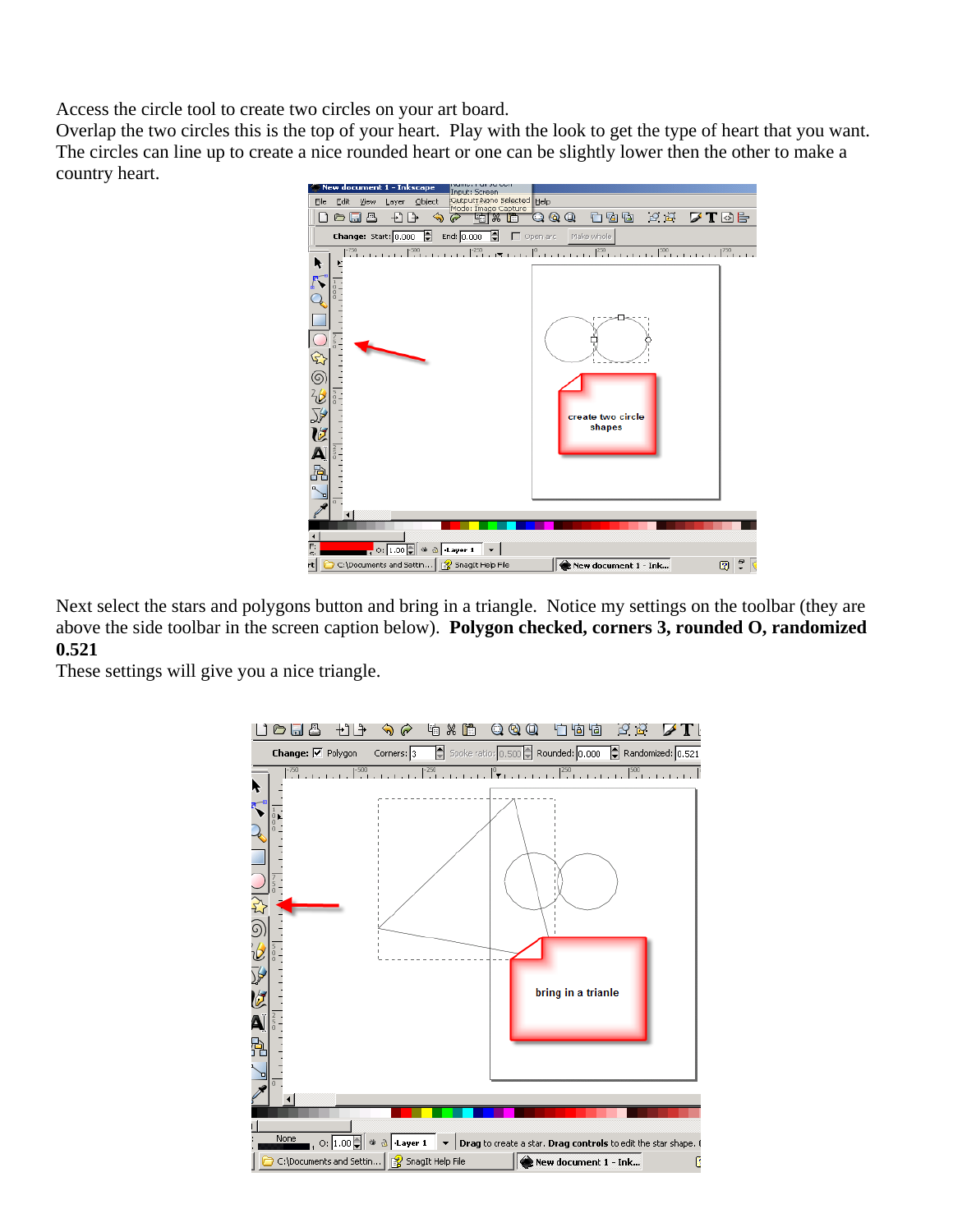Access the circle tool to create two circles on your art board.

Overlap the two circles this is the top of your heart. Play with the look to get the type of heart that you want. The circles can line up to create a nice rounded heart or one can be slightly lower then the other to make a country heart.



Next select the stars and polygons button and bring in a triangle. Notice my settings on the toolbar (they are above the side toolbar in the screen caption below). **Polygon checked, corners 3, rounded O, randomized 0.521** 

These settings will give you a nice triangle.

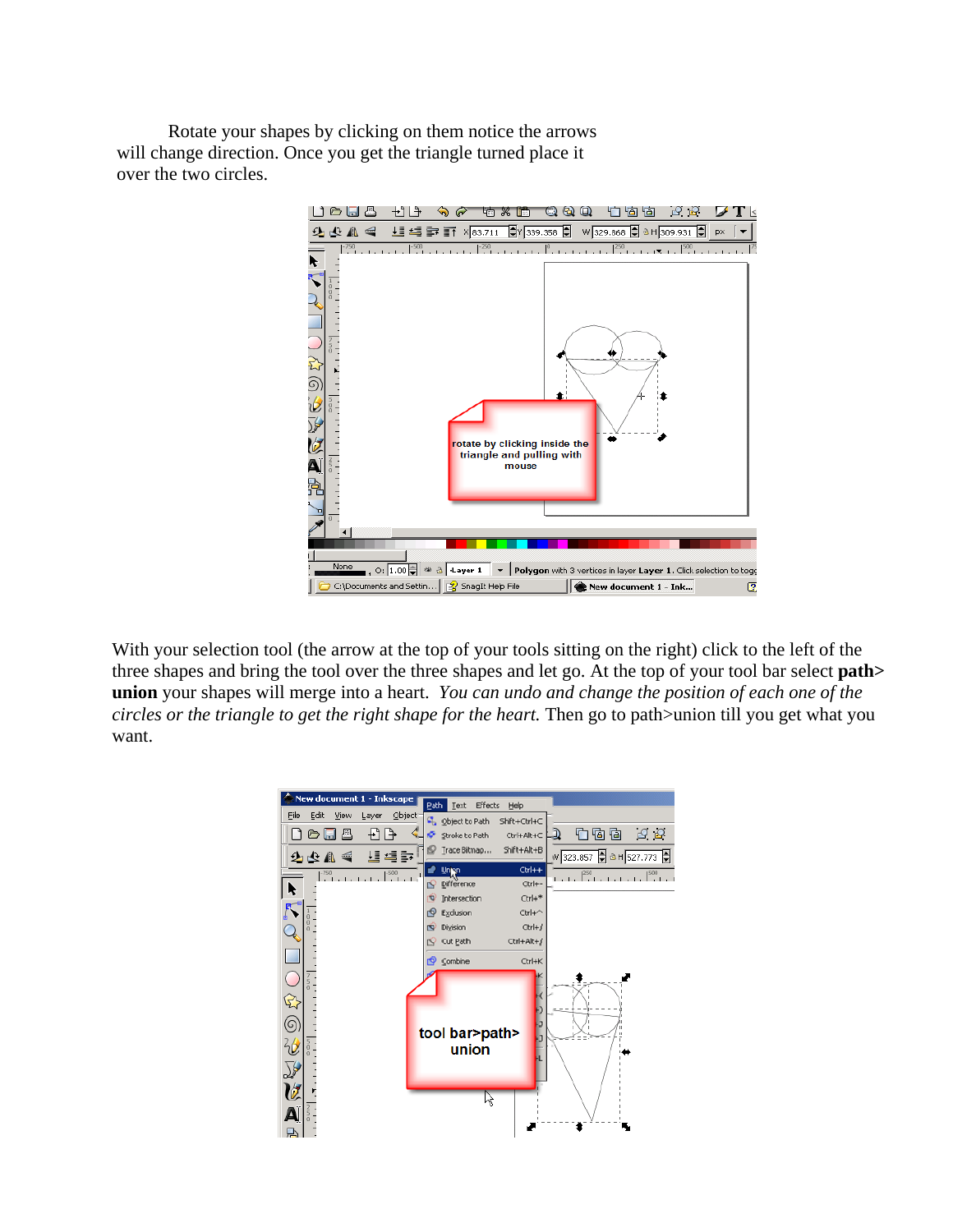Rotate your shapes by clicking on them notice the arrows will change direction. Once you get the triangle turned place it over the two circles.



With your selection tool (the arrow at the top of your tools sitting on the right) click to the left of the three shapes and bring the tool over the three shapes and let go. At the top of your tool bar select **path> union** your shapes will merge into a heart.*You can undo and change the position of each one of the circles or the triangle to get the right shape for the heart.* Then go to path>union till you get what you want.

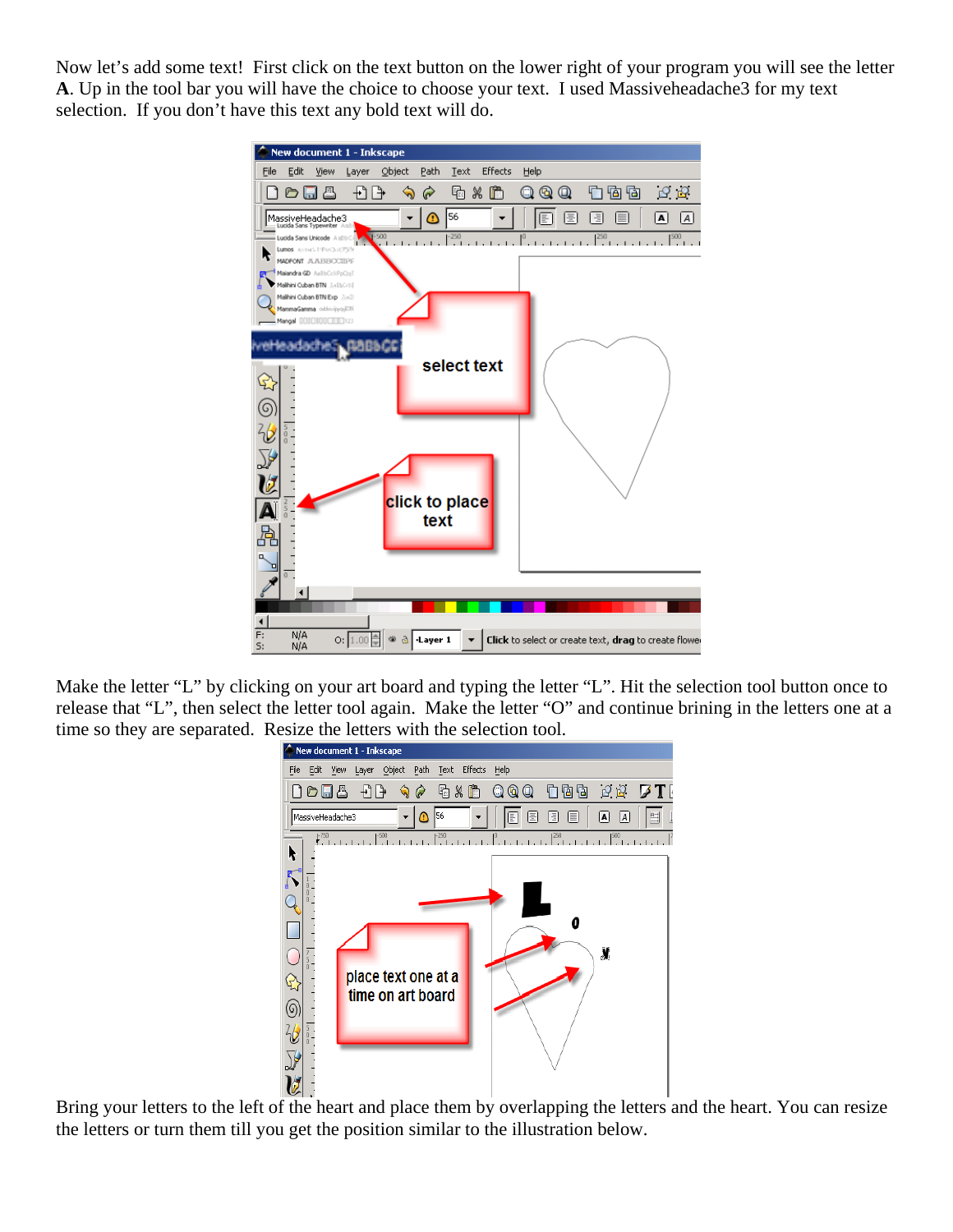Now let's add some text! First click on the text button on the lower right of your program you will see the letter **A**. Up in the tool bar you will have the choice to choose your text. I used Massiveheadache3 for my text selection. If you don't have this text any bold text will do.



Make the letter "L" by clicking on your art board and typing the letter "L". Hit the selection tool button once to release that "L", then select the letter tool again. Make the letter "O" and continue brining in the letters one at a time so they are separated. Resize the letters with the selection tool.



Bring your letters to the left of the heart and place them by overlapping the letters and the heart. You can resize the letters or turn them till you get the position similar to the illustration below.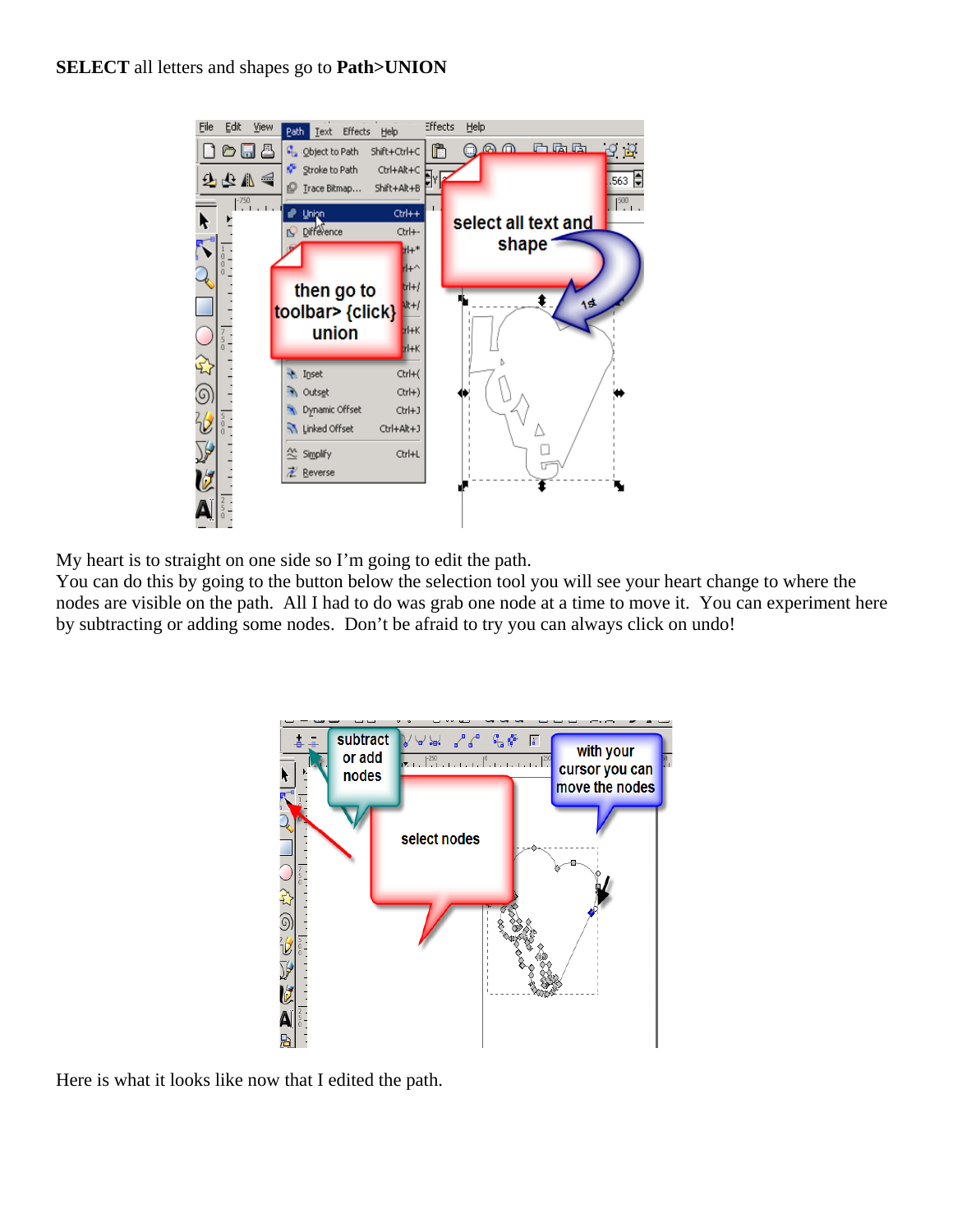

My heart is to straight on one side so I'm going to edit the path.

You can do this by going to the button below the selection tool you will see your heart change to where the nodes are visible on the path. All I had to do was grab one node at a time to move it. You can experiment here by subtracting or adding some nodes. Don't be afraid to try you can always click on undo!



Here is what it looks like now that I edited the path.